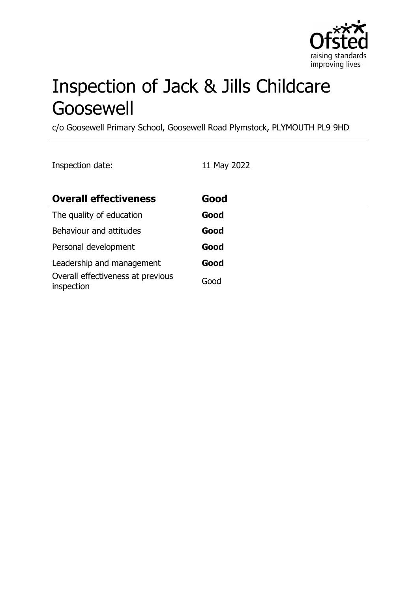

# Inspection of Jack & Jills Childcare Goosewell

c/o Goosewell Primary School, Goosewell Road Plymstock, PLYMOUTH PL9 9HD

Inspection date: 11 May 2022

| <b>Overall effectiveness</b>                    | Good |
|-------------------------------------------------|------|
| The quality of education                        | Good |
| Behaviour and attitudes                         | Good |
| Personal development                            | Good |
| Leadership and management                       | Good |
| Overall effectiveness at previous<br>inspection | Good |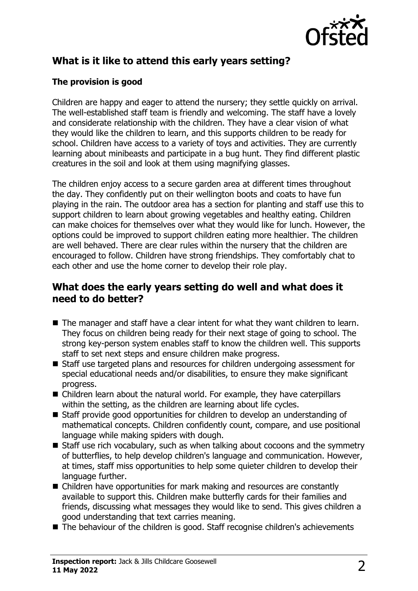

# **What is it like to attend this early years setting?**

### **The provision is good**

Children are happy and eager to attend the nursery; they settle quickly on arrival. The well-established staff team is friendly and welcoming. The staff have a lovely and considerate relationship with the children. They have a clear vision of what they would like the children to learn, and this supports children to be ready for school. Children have access to a variety of toys and activities. They are currently learning about minibeasts and participate in a bug hunt. They find different plastic creatures in the soil and look at them using magnifying glasses.

The children enjoy access to a secure garden area at different times throughout the day. They confidently put on their wellington boots and coats to have fun playing in the rain. The outdoor area has a section for planting and staff use this to support children to learn about growing vegetables and healthy eating. Children can make choices for themselves over what they would like for lunch. However, the options could be improved to support children eating more healthier. The children are well behaved. There are clear rules within the nursery that the children are encouraged to follow. Children have strong friendships. They comfortably chat to each other and use the home corner to develop their role play.

## **What does the early years setting do well and what does it need to do better?**

- $\blacksquare$  The manager and staff have a clear intent for what they want children to learn. They focus on children being ready for their next stage of going to school. The strong key-person system enables staff to know the children well. This supports staff to set next steps and ensure children make progress.
- Staff use targeted plans and resources for children undergoing assessment for special educational needs and/or disabilities, to ensure they make significant progress.
- $\blacksquare$  Children learn about the natural world. For example, they have caterpillars within the setting, as the children are learning about life cycles.
- $\blacksquare$  Staff provide good opportunities for children to develop an understanding of mathematical concepts. Children confidently count, compare, and use positional language while making spiders with dough.
- $\blacksquare$  Staff use rich vocabulary, such as when talking about cocoons and the symmetry of butterflies, to help develop children's language and communication. However, at times, staff miss opportunities to help some quieter children to develop their language further.
- $\blacksquare$  Children have opportunities for mark making and resources are constantly available to support this. Children make butterfly cards for their families and friends, discussing what messages they would like to send. This gives children a good understanding that text carries meaning.
- $\blacksquare$  The behaviour of the children is good. Staff recognise children's achievements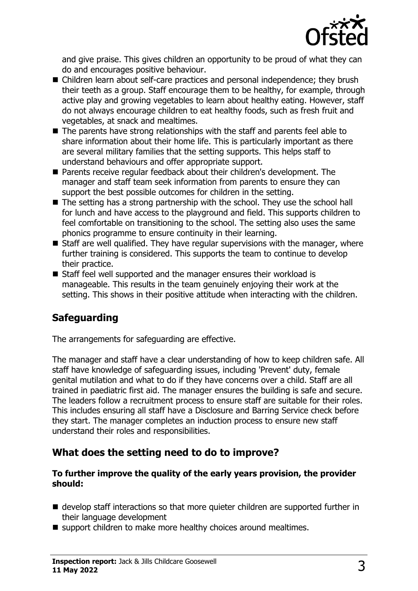

and give praise. This gives children an opportunity to be proud of what they can do and encourages positive behaviour.

- Children learn about self-care practices and personal independence; they brush their teeth as a group. Staff encourage them to be healthy, for example, through active play and growing vegetables to learn about healthy eating. However, staff do not always encourage children to eat healthy foods, such as fresh fruit and vegetables, at snack and mealtimes.
- $\blacksquare$  The parents have strong relationships with the staff and parents feel able to share information about their home life. This is particularly important as there are several military families that the setting supports. This helps staff to understand behaviours and offer appropriate support.
- Parents receive regular feedback about their children's development. The manager and staff team seek information from parents to ensure they can support the best possible outcomes for children in the setting.
- $\blacksquare$  The setting has a strong partnership with the school. They use the school hall for lunch and have access to the playground and field. This supports children to feel comfortable on transitioning to the school. The setting also uses the same phonics programme to ensure continuity in their learning.
- $\blacksquare$  Staff are well qualified. They have regular supervisions with the manager, where further training is considered. This supports the team to continue to develop their practice.
- Staff feel well supported and the manager ensures their workload is manageable. This results in the team genuinely enjoying their work at the setting. This shows in their positive attitude when interacting with the children.

## **Safeguarding**

The arrangements for safeguarding are effective.

The manager and staff have a clear understanding of how to keep children safe. All staff have knowledge of safeguarding issues, including 'Prevent' duty, female genital mutilation and what to do if they have concerns over a child. Staff are all trained in paediatric first aid. The manager ensures the building is safe and secure. The leaders follow a recruitment process to ensure staff are suitable for their roles. This includes ensuring all staff have a Disclosure and Barring Service check before they start. The manager completes an induction process to ensure new staff understand their roles and responsibilities.

## **What does the setting need to do to improve?**

#### **To further improve the quality of the early years provision, the provider should:**

- $\blacksquare$  develop staff interactions so that more quieter children are supported further in their language development
- support children to make more healthy choices around mealtimes.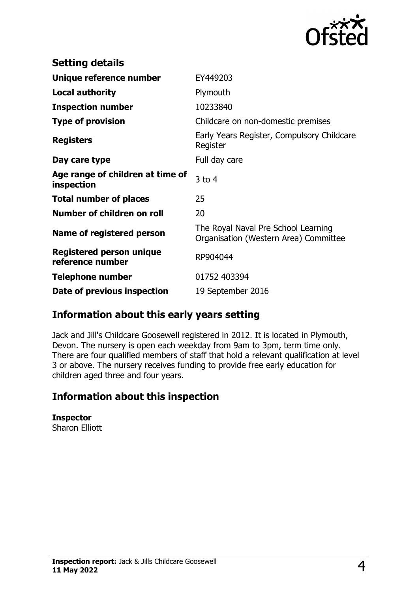

| <b>Setting details</b>                              |                                                                              |
|-----------------------------------------------------|------------------------------------------------------------------------------|
| Unique reference number                             | EY449203                                                                     |
| <b>Local authority</b>                              | Plymouth                                                                     |
| <b>Inspection number</b>                            | 10233840                                                                     |
| <b>Type of provision</b>                            | Childcare on non-domestic premises                                           |
| <b>Registers</b>                                    | Early Years Register, Compulsory Childcare<br>Register                       |
| Day care type                                       | Full day care                                                                |
| Age range of children at time of<br>inspection      | $3$ to 4                                                                     |
| <b>Total number of places</b>                       | 25                                                                           |
| Number of children on roll                          | 20                                                                           |
| Name of registered person                           | The Royal Naval Pre School Learning<br>Organisation (Western Area) Committee |
| <b>Registered person unique</b><br>reference number | RP904044                                                                     |
| <b>Telephone number</b>                             | 01752 403394                                                                 |
| Date of previous inspection                         | 19 September 2016                                                            |

## **Information about this early years setting**

Jack and Jill's Childcare Goosewell registered in 2012. It is located in Plymouth, Devon. The nursery is open each weekday from 9am to 3pm, term time only. There are four qualified members of staff that hold a relevant qualification at level 3 or above. The nursery receives funding to provide free early education for children aged three and four years.

### **Information about this inspection**

**Inspector** Sharon Elliott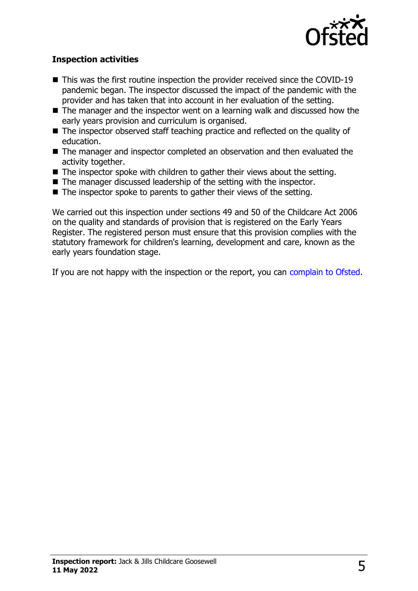

#### **Inspection activities**

- $\blacksquare$  This was the first routine inspection the provider received since the COVID-19 pandemic began. The inspector discussed the impact of the pandemic with the provider and has taken that into account in her evaluation of the setting.
- $\blacksquare$  The manager and the inspector went on a learning walk and discussed how the early years provision and curriculum is organised.
- $\blacksquare$  The inspector observed staff teaching practice and reflected on the quality of education.
- The manager and inspector completed an observation and then evaluated the activity together.
- $\blacksquare$  The inspector spoke with children to gather their views about the setting.
- $\blacksquare$  The manager discussed leadership of the setting with the inspector.
- $\blacksquare$  The inspector spoke to parents to gather their views of the setting.

We carried out this inspection under sections 49 and 50 of the Childcare Act 2006 on the quality and standards of provision that is registered on the Early Years Register. The registered person must ensure that this provision complies with the statutory framework for children's learning, development and care, known as the early years foundation stage.

If you are not happy with the inspection or the report, you can [complain to Ofsted](http://www.gov.uk/complain-ofsted-report).